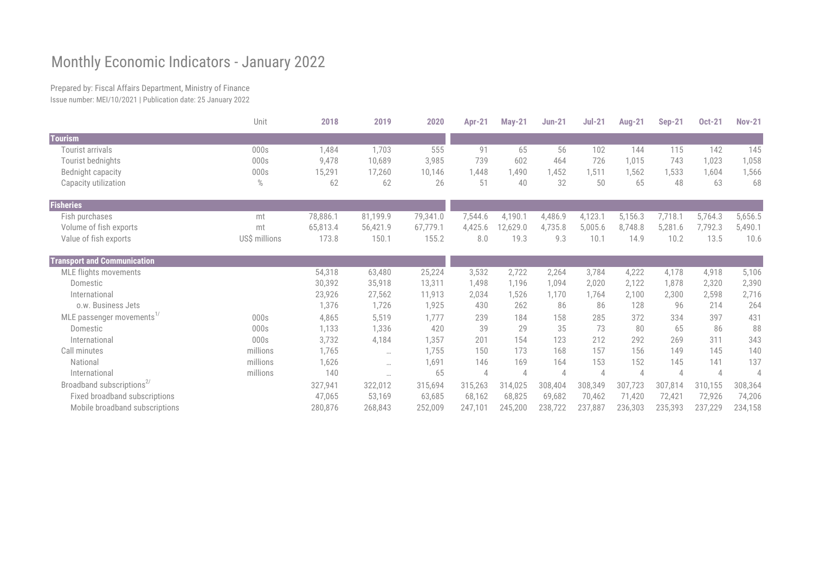## Monthly Economic Indicators - January 2022

Prepared by: Fiscal Affairs Department, Ministry of Finance Issue number: MEI/10/2021 | Publication date: 25 January 2022

|                                       | Unit          | 2018     | 2019     | 2020     | <b>Apr-21</b> | <b>May-21</b>  | <b>Jun-21</b> | $Jul-21$ | <b>Aug-21</b> | <b>Sep-21</b> | <b>Oct-21</b>  | <b>Nov-21</b>            |
|---------------------------------------|---------------|----------|----------|----------|---------------|----------------|---------------|----------|---------------|---------------|----------------|--------------------------|
| <b>Tourism</b>                        |               |          |          |          |               |                |               |          |               |               |                |                          |
| Tourist arrivals                      | 000s          | 1,484    | 1,703    | 555      | 91            | 65             | 56            | 102      | 144           | 115           | 142            | 145                      |
| Tourist bednights                     | 000s          | 9,478    | 10,689   | 3,985    | 739           | 602            | 464           | 726      | 1,015         | 743           | 1,023          | 1,058                    |
| Bednight capacity                     | 000s          | 15,291   | 17,260   | 10,146   | 1,448         | ,490           | 1,452         | 1,511    | 1,562         | 1,533         | 1,604          | 1,566                    |
| Capacity utilization                  | $\%$          | 62       | 62       | 26       | 51            | 40             | 32            | 50       | 65            | 48            | 63             | 68                       |
| <b>Fisheries</b>                      |               |          |          |          |               |                |               |          |               |               |                |                          |
| Fish purchases                        | mt            | 78,886.1 | 81,199.9 | 79,341.0 | 7,544.6       | 4,190.1        | 4,486.9       | 4,123.1  | 5,156.3       | 7,718.1       | 5,764.3        | 5,656.5                  |
| Volume of fish exports                | mt            | 65,813.4 | 56,421.9 | 67,779.1 | 4,425.6       | 12,629.0       | 4,735.8       | 5,005.6  | 8,748.8       | 5,281.6       | 7,792.3        | 5,490.1                  |
| Value of fish exports                 | US\$ millions | 173.8    | 150.1    | 155.2    | 8.0           | 19.3           | 9.3           | 10.1     | 14.9          | 10.2          | 13.5           | 10.6                     |
| <b>Transport and Communication</b>    |               |          |          |          |               |                |               |          |               |               |                |                          |
| <b>MLE flights movements</b>          |               | 54,318   | 63,480   | 25,224   | 3,532         | 2,722          | 2,264         | 3,784    | 4,222         | 4,178         | 4,918          | 5,106                    |
| Domestic                              |               | 30,392   | 35,918   | 13,311   | 1,498         | 1,196          | 1,094         | 2,020    | 2,122         | 1,878         | 2,320          | 2,390                    |
| International                         |               | 23,926   | 27,562   | 11,913   | 2,034         | 1,526          | 1,170         | 1,764    | 2,100         | 2,300         | 2,598          | 2,716                    |
| o.w. Business Jets                    |               | 1,376    | 1,726    | 1,925    | 430           | 262            | 86            | 86       | 128           | 96            | 214            | 264                      |
| MLE passenger movements <sup>1/</sup> | 000s          | 4,865    | 5,519    | 1,777    | 239           | 184            | 158           | 285      | 372           | 334           | 397            | 431                      |
| Domestic                              | 000s          | 1,133    | 1,336    | 420      | 39            | 29             | 35            | 73       | 80            | 65            | 86             | 88                       |
| International                         | 000s          | 3,732    | 4,184    | 1,357    | 201           | 154            | 123           | 212      | 292           | 269           | 311            | 343                      |
| Call minutes                          | millions      | 1,765    | $\cdots$ | 1,755    | 150           | 173            | 168           | 157      | 156           | 149           | 145            | 140                      |
| National                              | millions      | 1,626    | $\cdots$ | 1,691    | 146           | 169            | 164           | 153      | 152           | 145           | 141            | 137                      |
| International                         | millions      | 140      | $\cdots$ | 65       | $\Delta$      | $\overline{4}$ | 4             |          |               | 4             | $\overline{4}$ | $\overline{\mathcal{A}}$ |
| Broadband subscriptions <sup>2/</sup> |               | 327,941  | 322,012  | 315,694  | 315,263       | 314,025        | 308,404       | 308,349  | 307,723       | 307,814       | 310,155        | 308,364                  |
| Fixed broadband subscriptions         |               | 47,065   | 53,169   | 63,685   | 68,162        | 68,825         | 69,682        | 70,462   | 71,420        | 72,421        | 72,926         | 74,206                   |
| Mobile broadband subscriptions        |               | 280,876  | 268,843  | 252,009  | 247,101       | 245,200        | 238,722       | 237,887  | 236,303       | 235,393       | 237,229        | 234,158                  |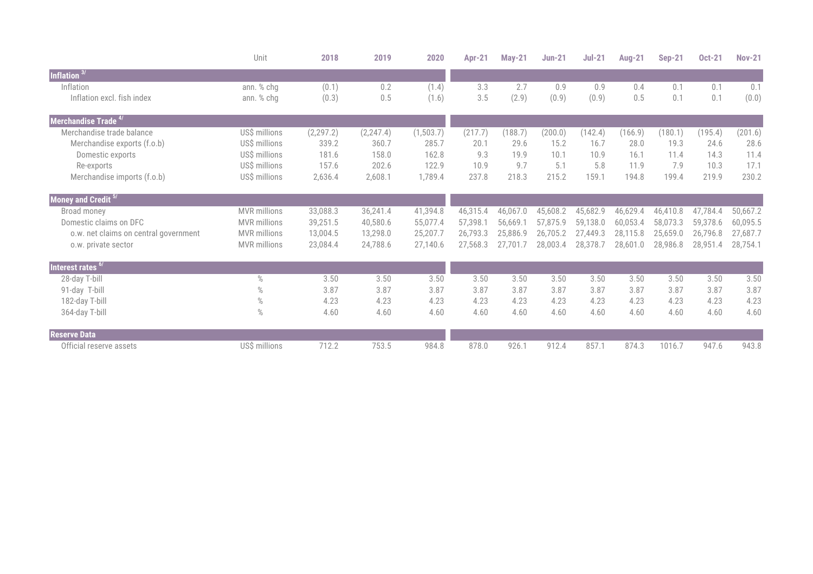|                                       | Unit                | 2018       | 2019       | 2020      | <b>Apr-21</b> | <b>May-21</b> | <b>Jun-21</b> | $Jul-21$ | <b>Aug-21</b> | <b>Sep-21</b> | <b>Oct-21</b> | <b>Nov-21</b> |
|---------------------------------------|---------------------|------------|------------|-----------|---------------|---------------|---------------|----------|---------------|---------------|---------------|---------------|
| Inflation $3/$                        |                     |            |            |           |               |               |               |          |               |               |               |               |
| Inflation                             | ann. % chg          | (0.1)      | 0.2        | (1.4)     | 3.3           | 2.7           | 0.9           | 0.9      | 0.4           | 0.1           | 0.1           | 0.1           |
| Inflation excl. fish index            | ann. % chg          | (0.3)      | 0.5        | (1.6)     | 3.5           | (2.9)         | (0.9)         | (0.9)    | 0.5           | 0.1           | 0.1           | (0.0)         |
| Merchandise Trade <sup>4/</sup>       |                     |            |            |           |               |               |               |          |               |               |               |               |
| Merchandise trade balance             | US\$ millions       | (2, 297.2) | (2, 247.4) | (1,503.7) | (217.7)       | (188.7)       | (200.0)       | (142.4)  | (166.9)       | (180.1)       | (195.4)       | (201.6)       |
| Merchandise exports (f.o.b)           | US\$ millions       | 339.2      | 360.7      | 285.7     | 20.1          | 29.6          | 15.2          | 16.7     | 28.0          | 19.3          | 24.6          | 28.6          |
| Domestic exports                      | US\$ millions       | 181.6      | 158.0      | 162.8     | 9.3           | 19.9          | 10.1          | 10.9     | 16.1          | 11.4          | 14.3          | 11.4          |
| Re-exports                            | US\$ millions       | 157.6      | 202.6      | 122.9     | 10.9          | 9.7           | 5.1           | 5.8      | 11.9          | 7.9           | 10.3          | 17.1          |
| Merchandise imports (f.o.b)           | US\$ millions       | 2,636.4    | 2,608.1    | 1,789.4   | 237.8         | 218.3         | 215.2         | 159.1    | 194.8         | 199.4         | 219.9         | 230.2         |
| Money and Credit 5/                   |                     |            |            |           |               |               |               |          |               |               |               |               |
| Broad money                           | <b>MVR</b> millions | 33,088.3   | 36,241.4   | 41,394.8  | 46,315.4      | 46,067.0      | 45,608.2      | 45,682.9 | 46,629.4      | 46,410.8      | 47,784.4      | 50,667.2      |
| Domestic claims on DFC                | <b>MVR</b> millions | 39,251.5   | 40,580.6   | 55,077.4  | 57,398.1      | 56,669.1      | 57,875.9      | 59,138.0 | 60,053.4      | 58,073.3      | 59,378.6      | 60,095.5      |
| o.w. net claims on central government | <b>MVR</b> millions | 13,004.5   | 13,298.0   | 25,207.7  | 26,793.3      | 25,886.9      | 26,705.2      | 27,449.3 | 28,115.8      | 25,659.0      | 26,796.8      | 27,687.7      |
| o.w. private sector                   | <b>MVR</b> millions | 23,084.4   | 24,788.6   | 27,140.6  | 27,568.3      | 27.701.7      | 28,003.4      | 28,378.7 | 28,601.0      | 28,986.8      | 28,951.4      | 28,754.1      |
| Interest rates <sup>6</sup>           |                     |            |            |           |               |               |               |          |               |               |               |               |
| 28-day T-bill                         | $\%$                | 3.50       | 3.50       | 3.50      | 3.50          | 3.50          | 3.50          | 3.50     | 3.50          | 3.50          | 3.50          | 3.50          |
| 91-day T-bill                         | $\%$                | 3.87       | 3.87       | 3.87      | 3.87          | 3.87          | 3.87          | 3.87     | 3.87          | 3.87          | 3.87          | 3.87          |
| 182-day T-bill                        | $\%$                | 4.23       | 4.23       | 4.23      | 4.23          | 4.23          | 4.23          | 4.23     | 4.23          | 4.23          | 4.23          | 4.23          |
| 364-day T-bill                        | $\%$                | 4.60       | 4.60       | 4.60      | 4.60          | 4.60          | 4.60          | 4.60     | 4.60          | 4.60          | 4.60          | 4.60          |
| <b>Reserve Data</b>                   |                     |            |            |           |               |               |               |          |               |               |               |               |
| Official reserve assets               | US\$ millions       | 712.2      | 753.5      | 984.8     | 878.0         | 926.1         | 912.4         | 857.1    | 874.3         | 1016.7        | 947.6         | 943.8         |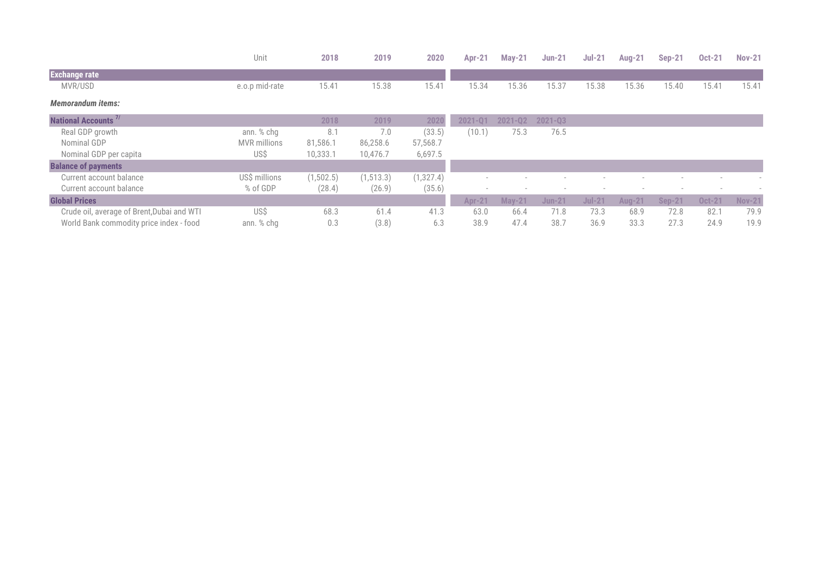|                                            | Unit                | 2018      | 2019       | 2020      | <b>Apr-21</b> | $May-21$      | <b>Jun-21</b> | $Jul-21$ | <b>Aug-21</b> | <b>Sep-21</b> | <b>Oct-21</b> | <b>Nov-21</b> |
|--------------------------------------------|---------------------|-----------|------------|-----------|---------------|---------------|---------------|----------|---------------|---------------|---------------|---------------|
| <b>Exchange rate</b>                       |                     |           |            |           |               |               |               |          |               |               |               |               |
| MVR/USD                                    | e.o.p mid-rate      | 15.41     | 15.38      | 15.41     | 15.34         | 15.36         | 15.37         | 15.38    | 15.36         | 15.40         | 15.41         | 15.41         |
| <b>Memorandum items:</b>                   |                     |           |            |           |               |               |               |          |               |               |               |               |
| National Accounts <sup>71</sup>            |                     | 2018      | 2019       | 2020      | 2021-Q1       | 2021-02       | $2021 - Q3$   |          |               |               |               |               |
| Real GDP growth                            | ann. % chg          | 8.1       | 7.0        | (33.5)    | (10.1)        | 75.3          | 76.5          |          |               |               |               |               |
| Nominal GDP                                | <b>MVR</b> millions | 81,586.1  | 86,258.6   | 57,568.7  |               |               |               |          |               |               |               |               |
| Nominal GDP per capita                     | US\$                | 10,333.1  | 10,476.7   | 6,697.5   |               |               |               |          |               |               |               |               |
| <b>Balance of payments</b>                 |                     |           |            |           |               |               |               |          |               |               |               |               |
| Current account balance                    | US\$ millions       | (1,502.5) | (1, 513.3) | (1,327.4) |               |               |               |          |               |               |               |               |
| Current account balance                    | % of GDP            | (28.4)    | (26.9)     | (35.6)    |               |               |               |          |               |               |               |               |
| <b>Global Prices</b>                       |                     |           |            |           | <b>Apr-21</b> | <b>May-21</b> | <b>Jun-21</b> | $Jul-21$ | <b>Aug-21</b> | <b>Sep-21</b> | <b>Oct-21</b> | <b>Nov-21</b> |
| Crude oil, average of Brent, Dubai and WTI | US\$                | 68.3      | 61.4       | 41.3      | 63.0          | 66.4          | 71.8          | 73.3     | 68.9          | 72.8          | 82.7          | 79.9          |
| World Bank commodity price index - food    | ann. % chg          | 0.3       | (3.8)      | 6.3       | 38.9          | 47.4          | 38.7          | 36.9     | 33.3          | 27.3          | 24.9          | 19.9          |